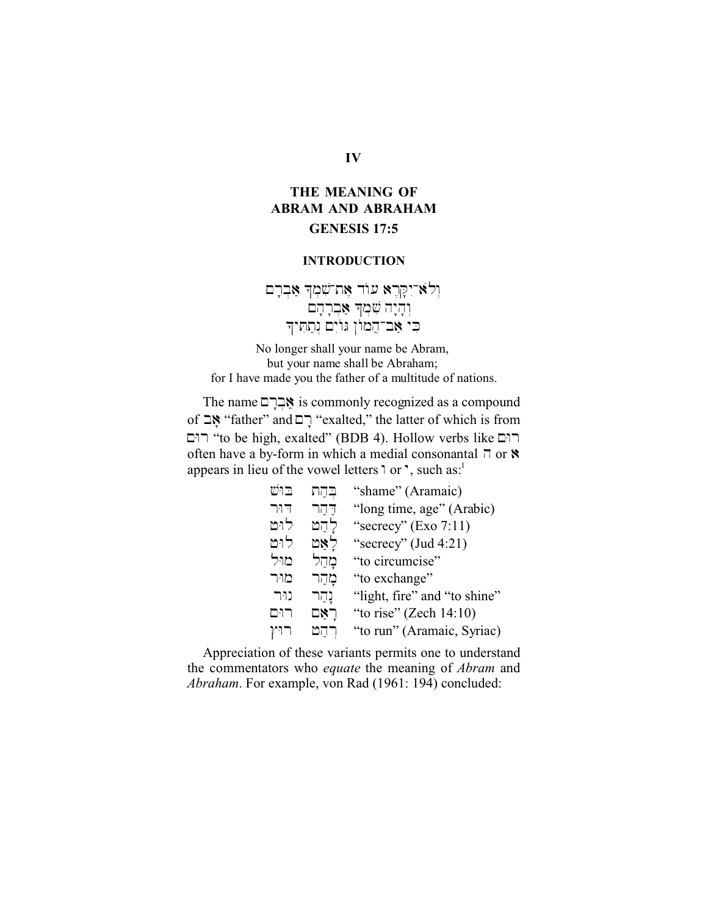# **IV**

# **THE MEANING OF ABRAM AND ABRAHAM GENESIS 17:5**

## **INTRODUCTION**

וְלָא יִקְרֶא עוֹד אֶת־שִׁמְךָ אַבְרָם  $\eta$ אַבְרָהָם א בי אב־המון גוים נתתיד

No longer shall your name be Abram, but your name shall be Abraham; for I have made you the father of a multitude of nations.

The name MrFb;)a is commonly recognized as a compound of שָׁבָּ "father" and יְםּ "exalted," the latter of which is from רום "to be high, exalted" (BDB 4). Hollow verbs like רום often have a by-form in which a medial consonantal  $\bar{\eta}$  or  $\dot{\gamma}$ appears in lieu of the vowel letters  $\alpha$  or  $\gamma$ , such as:<sup>1</sup>

| בוש  | בֲהַת | "shame" (Aramaic)            |
|------|-------|------------------------------|
| דור  | דהר   | "long time, age" (Arabic)    |
| לוט  | להט   | "secrecy" $(Exo 7:11)$       |
| לוט  | לאַט  | "secrecy" (Jud 4:21)         |
| מוּל | מהל   | "to circumcise"              |
| מור  | מהר   | "to exchange"                |
| נור  | נָהַר | "light, fire" and "to shine" |
| רום  | ראַם  | "to rise" (Zech $14:10$ )    |
| רוין | רהמ   | "to run" (Aramaic, Syriac)   |

Appreciation of these variants permits one to understand the commentators who *equate* the meaning of *Abram* and *Abraham*. For example, von Rad (1961: 194) concluded: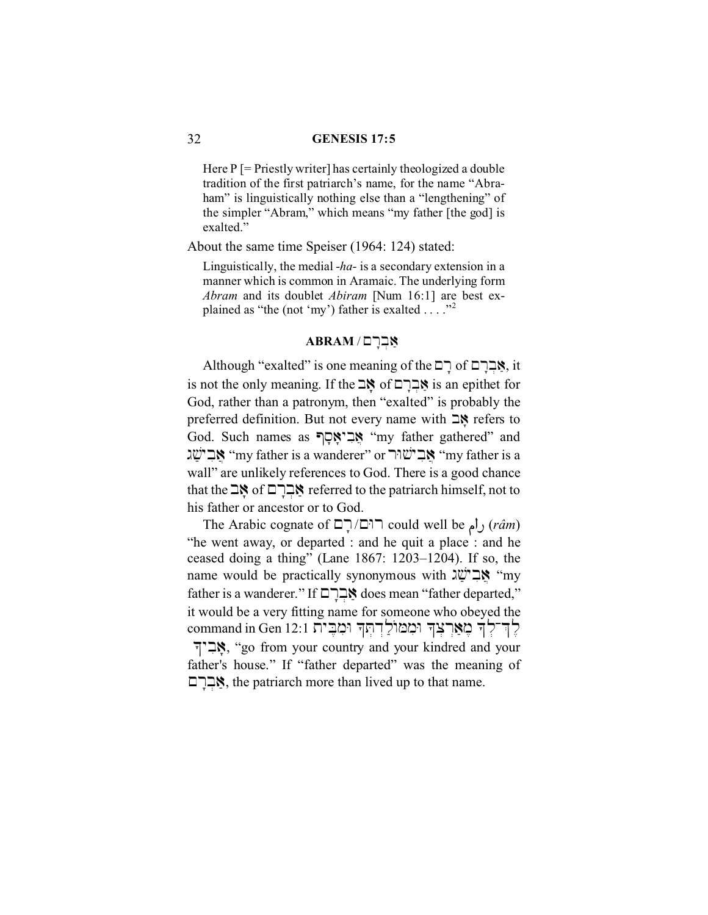#### 32 **GENESIS 17:5**

Here  $P$  [= Priestly writer] has certainly theologized a double tradition of the first patriarch's name, for the name "Abraham" is linguistically nothing else than a "lengthening" of the simpler "Abram," which means "my father [the god] is exalted."

About the same time Speiser (1964: 124) stated:

Linguistically, the medial -*ha*- is a secondary extension in a manner which is common in Aramaic. The underlying form *Abram* and its doublet *Abiram* [Num 16:1] are best explained as "the (not 'my') father is exalted  $\dots$ ."<sup>2</sup>

#### **ABRAM / אָבְרָם**

Although "exalted" is one meaning of the  $\nabla$ ך of  $\nabla$ פּר  $i$ s not the only meaning. If the  $\leq$  of  $\Box$ אֲבְרָ $i$  is an epithet for God, rather than a patronym, then "exalted" is probably the preferred definition. But not every name with  $\exists$ **N** refers to God. Such names as "אֲבִיאָסָף" "my father gathered" and גבישג "my father is a wanderer" or אבישג "my father is a " wall" are unlikely references to God. There is a good chance that the  $\exists$ S of  $\Box$ Meferred to the patriarch himself, not to his father or ancestor or to God.

The Arabic cognate of  $\Box \Box \Box \Box$  could well be ال $(r\hat{a}m)$ "he went away, or departed : and he quit a place : and he ceased doing a thing" (Lane 1867: 1203–1204). If so, the name would be practically synonymous with  $\mathbb{Z}^*$  "my father is a wanderer." If  $\Box \Box \Diamond$  does mean "father departed," it would be a very fitting name for someone who obeyed the command in Gen 12:1 לְדִיקָרּ וּמְמוֹלַדְחִדְ וּמְבֵית אָב<sup>י</sup>ך, "go from your country and your kindred and your father's house." If "father departed" was the meaning of  $\Xi$ אָבְר $\Xi$ , the patriarch more than lived up to that name.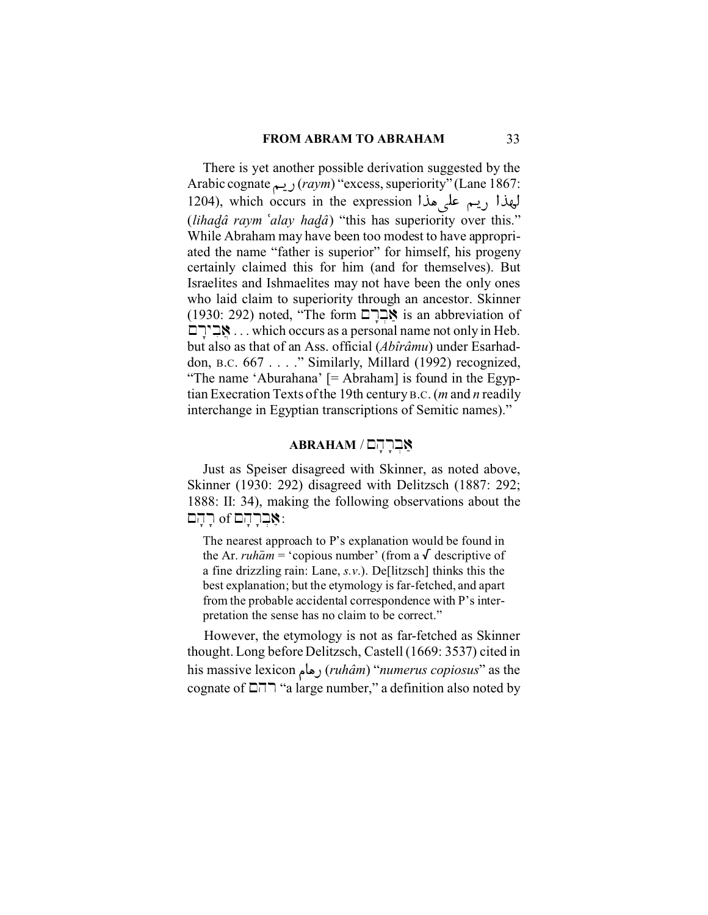#### **FROM ABRAM TO ABRAHAM** 33

There is yet another possible derivation suggested by the Arabic cognate vªÜ@ (*raym*) "excess, superiority" (Lane 1867: 1204), which occurs in the expression اليهذا ريسم على هذا (*lihad.â raym )alay had.â*) "this has superiority over this." While Abraham may have been too modest to have appropriated the name "father is superior" for himself, his progeny certainly claimed this for him (and for themselves). But Israelites and Ishmaelites may not have been the only ones who laid claim to superiority through an ancestor. Skinner  $(1930: 292)$  noted, "The form  $\Xi$ אָבְרָ $\Xi$  is an abbreviation of MrFybi)j . . . which occurs as a personal name not only in Heb. but also as that of an Ass. official (*Abîrâmu*) under Esarhaddon, B.C. 667 . . . ." Similarly, Millard (1992) recognized, "The name 'Aburahana' [= Abraham] is found in the Egyptian Execration Texts of the 19th century B.C. (*m* and *n* readily interchange in Egyptian transcriptions of Semitic names)."

## **ABRAHAM** / תברהם

Just as Speiser disagreed with Skinner, as noted above, Skinner (1930: 292) disagreed with Delitzsch (1887: 292; 1888: II: 34), making the following observations about the  $\sigma$ אָבְרָהָם of יָהָם:

The nearest approach to P's explanation would be found in the Ar. *ruham* = 'copious number' (from a  $\sqrt{\ }$  descriptive of a fine drizzling rain: Lane, *s.v*.). De[litzsch] thinks this the best explanation; but the etymology is far-fetched, and apart from the probable accidental correspondence with P's interpretation the sense has no claim to be correct."

 However, the etymology is not as far-fetched as Skinner thought. Long before Delitzsch, Castell (1669: 3537) cited in his massive lexicon u"|@ (*ruhâm*) "*numerus copiosus*" as the cognate of  $\Box \Box \Box$  "a large number," a definition also noted by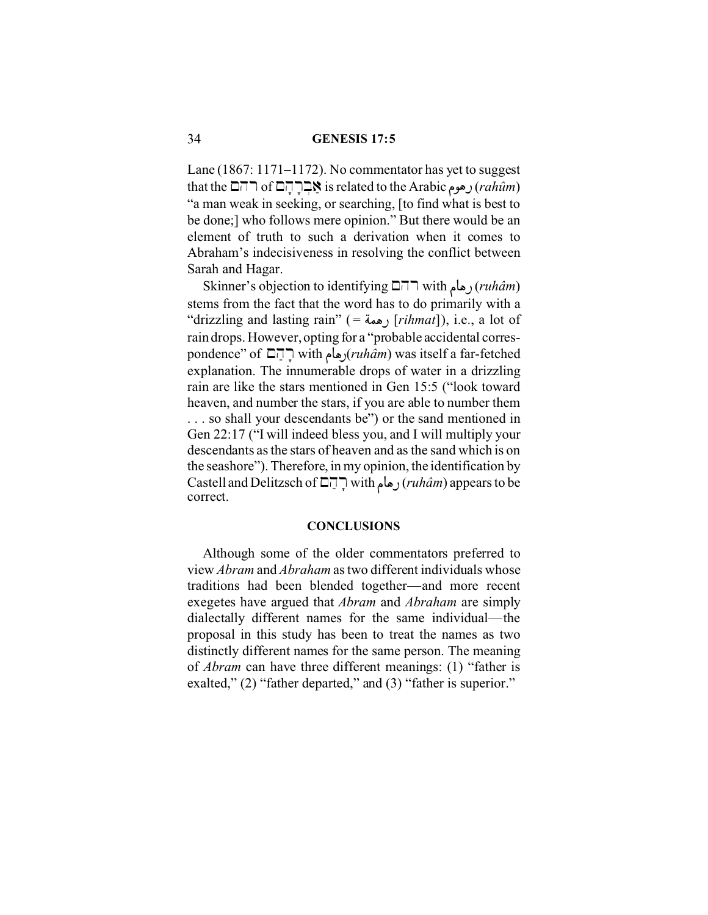Lane (1867: 1171–1172). No commentator has yet to suggest that the **Andric Arabic ج**بابات of **Andric is related** to the Arabic union "a man weak in seeking, or searching, [to find what is best to be done;] who follows mere opinion." But there would be an element of truth to such a derivation when it comes to Abraham's indecisiveness in resolving the conflict between Sarah and Hagar.

Skinner's objection to identifying Mhr with u"|@ (*ruhâm*) stems from the fact that the word has to do primarily with a "drizzling and lasting rain" ( <sup>=</sup> Çt|@ [*rihmat*]), i.e., a lot of rain drops. However, opting for a "probable accidental correspondence" of ⊡∏ with (رهام with with السابة) with was itself a far-fetched explanation. The innumerable drops of water in a drizzling rain are like the stars mentioned in Gen 15:5 ("look toward heaven, and number the stars, if you are able to number them . . . so shall your descendants be") or the sand mentioned in Gen 22:17 ("I will indeed bless you, and I will multiply your descendants as the stars of heaven and as the sand which is on the seashore"). Therefore, in my opinion, the identification by Castell and Delitzsch of Mharf with u"|@ (*ruhâm*) appears to be correct.

#### **CONCLUSIONS**

Although some of the older commentators preferred to view *Abram* and *Abraham* as two different individuals whose traditions had been blended together—and more recent exegetes have argued that *Abram* and *Abraham* are simply dialectally different names for the same individual—the proposal in this study has been to treat the names as two distinctly different names for the same person. The meaning of *Abram* can have three different meanings: (1) "father is exalted," (2) "father departed," and (3) "father is superior."